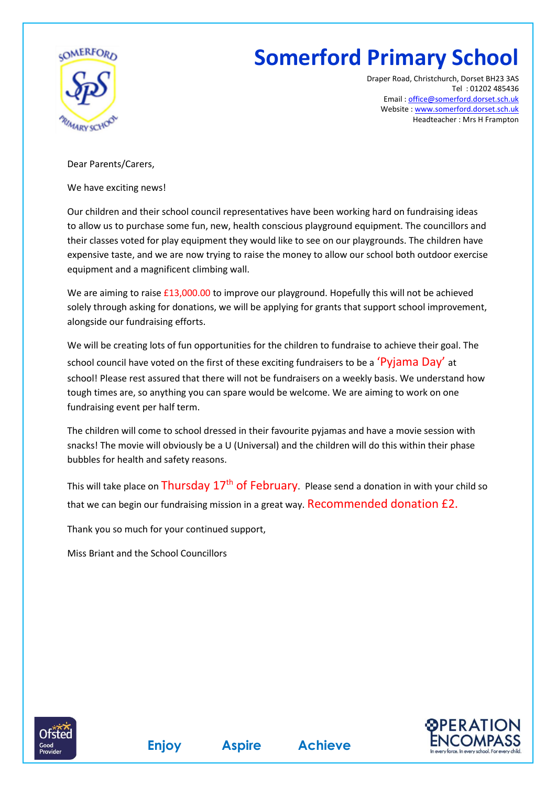

## **Somerford Primary School**

Draper Road, Christchurch, Dorset BH23 3AS Tel : 01202 485436 Email [: office@somerford.dorset.sch.uk](mailto:office@somerford.dorset.sch.uk) Website [: www.somerford.dorset.sch.uk](http://www.somerford.dorset.sch.uk/) Headteacher : Mrs H Frampton

Dear Parents/Carers,

We have exciting news!

Our children and their school council representatives have been working hard on fundraising ideas to allow us to purchase some fun, new, health conscious playground equipment. The councillors and their classes voted for play equipment they would like to see on our playgrounds. The children have expensive taste, and we are now trying to raise the money to allow our school both outdoor exercise equipment and a magnificent climbing wall.

We are aiming to raise £13,000.00 to improve our playground. Hopefully this will not be achieved solely through asking for donations, we will be applying for grants that support school improvement, alongside our fundraising efforts.

We will be creating lots of fun opportunities for the children to fundraise to achieve their goal. The school council have voted on the first of these exciting fundraisers to be a 'Pyjama Day' at school! Please rest assured that there will not be fundraisers on a weekly basis. We understand how tough times are, so anything you can spare would be welcome. We are aiming to work on one fundraising event per half term.

The children will come to school dressed in their favourite pyjamas and have a movie session with snacks! The movie will obviously be a U (Universal) and the children will do this within their phase bubbles for health and safety reasons.

This will take place on Thursday  $17<sup>th</sup>$  of February. Please send a donation in with your child so that we can begin our fundraising mission in a great way. Recommended donation £2.

Thank you so much for your continued support,

Miss Briant and the School Councillors